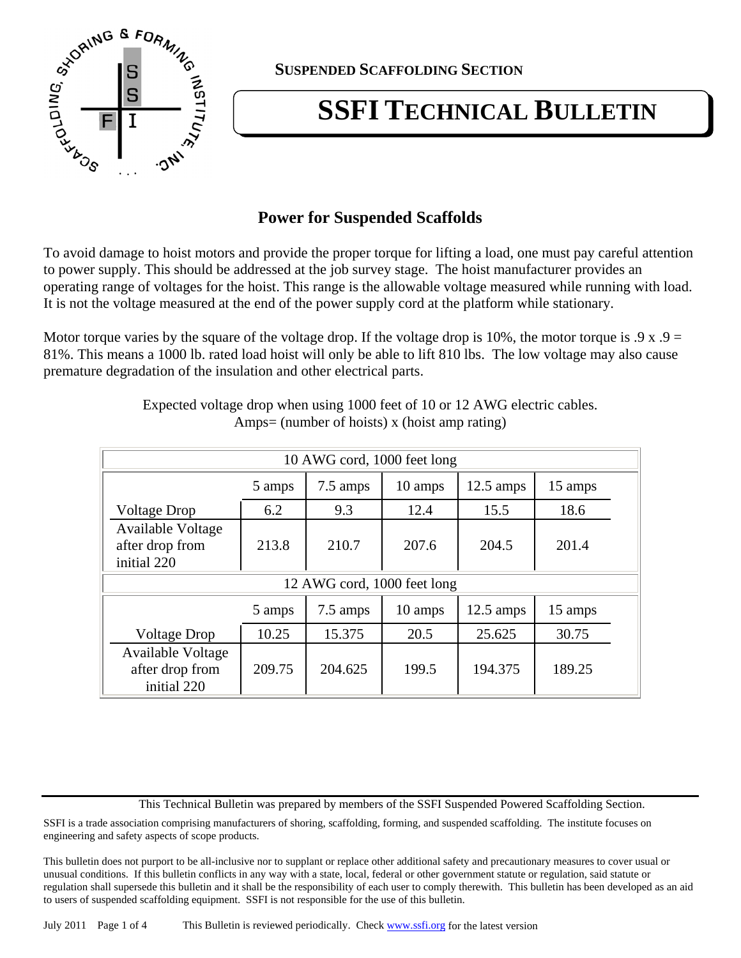

**SUSPENDED SCAFFOLDING SECTION**

# **SSFI TECHNICAL BULLETIN**

# **Power for Suspended Scaffolds**

To avoid damage to hoist motors and provide the proper torque for lifting a load, one must pay careful attention to power supply. This should be addressed at the job survey stage. The hoist manufacturer provides an operating range of voltages for the hoist. This range is the allowable voltage measured while running with load. It is not the voltage measured at the end of the power supply cord at the platform while stationary.

Motor torque varies by the square of the voltage drop. If the voltage drop is 10%, the motor torque is  $.9 \times .9 =$ 81%. This means a 1000 lb. rated load hoist will only be able to lift 810 lbs. The low voltage may also cause premature degradation of the insulation and other electrical parts.

| 10 AWG cord, 1000 feet long                                |        |          |         |                     |         |  |
|------------------------------------------------------------|--------|----------|---------|---------------------|---------|--|
|                                                            | 5 amps | 7.5 amps | 10 amps | $12.5 \text{ amps}$ | 15 amps |  |
| <b>Voltage Drop</b>                                        | 6.2    | 9.3      | 12.4    | 15.5                | 18.6    |  |
| Available Voltage<br>after drop from<br>initial 220        | 213.8  | 210.7    | 207.6   | 204.5               | 201.4   |  |
| 12 AWG cord, 1000 feet long                                |        |          |         |                     |         |  |
|                                                            | 5 amps | 7.5 amps | 10 amps | $12.5 \text{ amps}$ | 15 amps |  |
| <b>Voltage Drop</b>                                        | 10.25  | 15.375   | 20.5    | 25.625              | 30.75   |  |
| <b>Available Voltage</b><br>after drop from<br>initial 220 | 209.75 | 204.625  | 199.5   | 194.375             | 189.25  |  |

Expected voltage drop when using 1000 feet of 10 or 12 AWG electric cables. Amps= (number of hoists) x (hoist amp rating)

This Technical Bulletin was prepared by members of the SSFI Suspended Powered Scaffolding Section.

SSFI is a trade association comprising manufacturers of shoring, scaffolding, forming, and suspended scaffolding. The institute focuses on engineering and safety aspects of scope products.

This bulletin does not purport to be all-inclusive nor to supplant or replace other additional safety and precautionary measures to cover usual or unusual conditions. If this bulletin conflicts in any way with a state, local, federal or other government statute or regulation, said statute or regulation shall supersede this bulletin and it shall be the responsibility of each user to comply therewith. This bulletin has been developed as an aid to users of suspended scaffolding equipment. SSFI is not responsible for the use of this bulletin.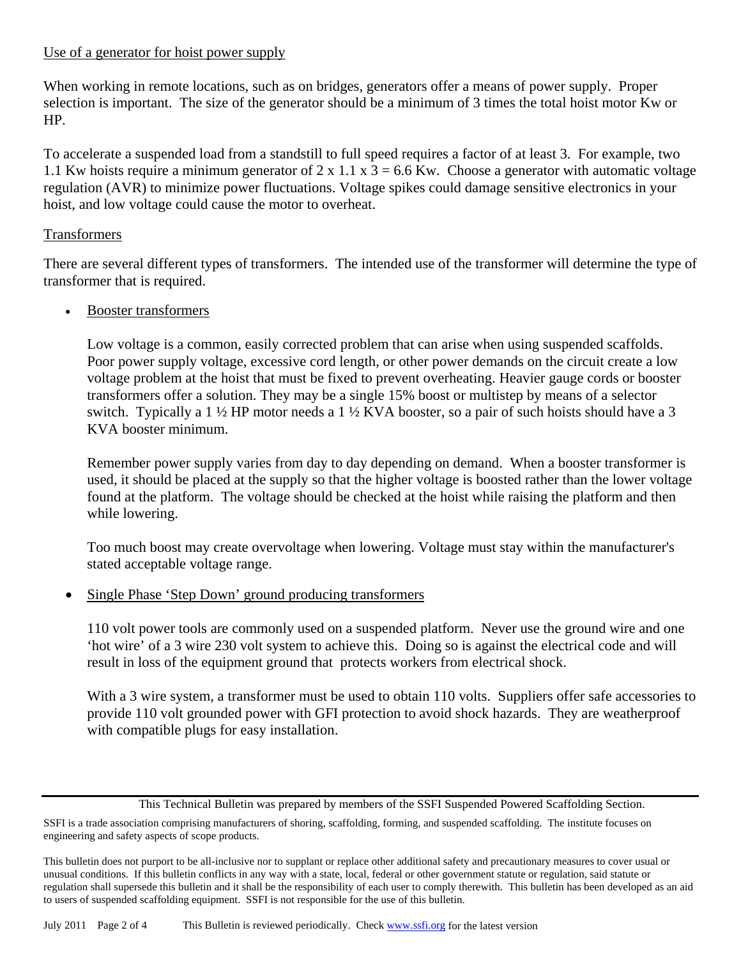#### Use of a generator for hoist power supply

When working in remote locations, such as on bridges, generators offer a means of power supply. Proper selection is important. The size of the generator should be a minimum of 3 times the total hoist motor Kw or HP.

To accelerate a suspended load from a standstill to full speed requires a factor of at least 3. For example, two 1.1 Kw hoists require a minimum generator of 2 x 1.1 x  $3 = 6.6$  Kw. Choose a generator with automatic voltage regulation (AVR) to minimize power fluctuations. Voltage spikes could damage sensitive electronics in your hoist, and low voltage could cause the motor to overheat.

#### Transformers

There are several different types of transformers. The intended use of the transformer will determine the type of transformer that is required.

#### • Booster transformers

Low voltage is a common, easily corrected problem that can arise when using suspended scaffolds. Poor power supply voltage, excessive cord length, or other power demands on the circuit create a low voltage problem at the hoist that must be fixed to prevent overheating. Heavier gauge cords or booster transformers offer a solution. They may be a single 15% boost or multistep by means of a selector switch. Typically a 1 ½ HP motor needs a 1 ½ KVA booster, so a pair of such hoists should have a 3 KVA booster minimum.

Remember power supply varies from day to day depending on demand. When a booster transformer is used, it should be placed at the supply so that the higher voltage is boosted rather than the lower voltage found at the platform. The voltage should be checked at the hoist while raising the platform and then while lowering.

Too much boost may create overvoltage when lowering. Voltage must stay within the manufacturer's stated acceptable voltage range.

Single Phase 'Step Down' ground producing transformers

110 volt power tools are commonly used on a suspended platform. Never use the ground wire and one 'hot wire' of a 3 wire 230 volt system to achieve this. Doing so is against the electrical code and will result in loss of the equipment ground that protects workers from electrical shock.

With a 3 wire system, a transformer must be used to obtain 110 volts. Suppliers offer safe accessories to provide 110 volt grounded power with GFI protection to avoid shock hazards. They are weatherproof with compatible plugs for easy installation.

This Technical Bulletin was prepared by members of the SSFI Suspended Powered Scaffolding Section.

SSFI is a trade association comprising manufacturers of shoring, scaffolding, forming, and suspended scaffolding. The institute focuses on engineering and safety aspects of scope products.

This bulletin does not purport to be all-inclusive nor to supplant or replace other additional safety and precautionary measures to cover usual or unusual conditions. If this bulletin conflicts in any way with a state, local, federal or other government statute or regulation, said statute or regulation shall supersede this bulletin and it shall be the responsibility of each user to comply therewith. This bulletin has been developed as an aid to users of suspended scaffolding equipment. SSFI is not responsible for the use of this bulletin.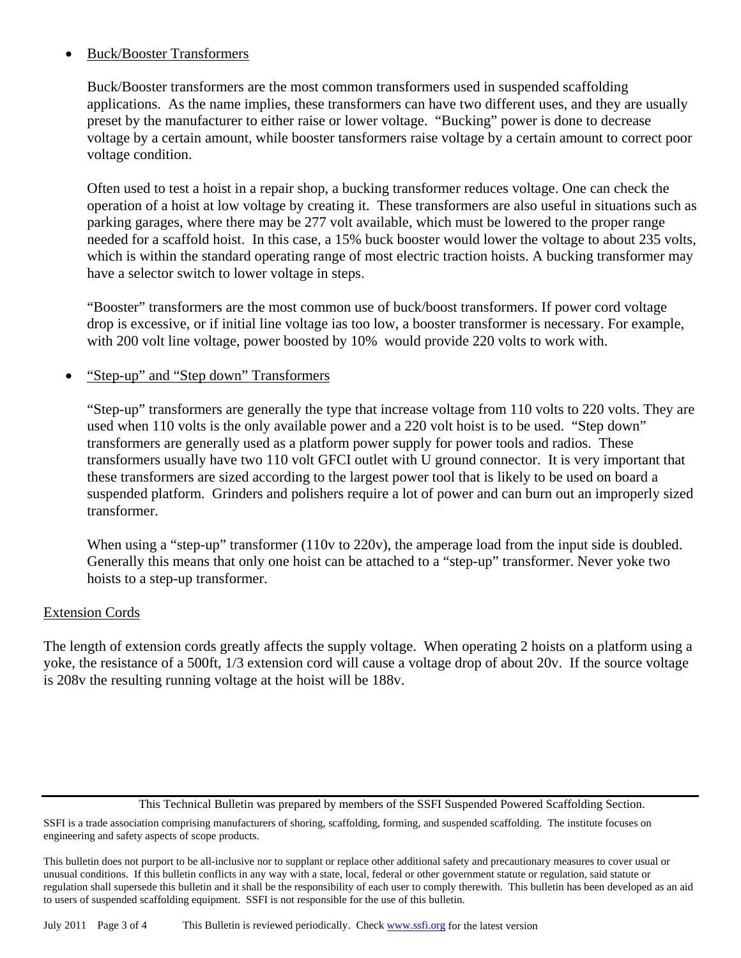### • Buck/Booster Transformers

Buck/Booster transformers are the most common transformers used in suspended scaffolding applications. As the name implies, these transformers can have two different uses, and they are usually preset by the manufacturer to either raise or lower voltage. "Bucking" power is done to decrease voltage by a certain amount, while booster tansformers raise voltage by a certain amount to correct poor voltage condition.

Often used to test a hoist in a repair shop, a bucking transformer reduces voltage. One can check the operation of a hoist at low voltage by creating it. These transformers are also useful in situations such as parking garages, where there may be 277 volt available, which must be lowered to the proper range needed for a scaffold hoist. In this case, a 15% buck booster would lower the voltage to about 235 volts, which is within the standard operating range of most electric traction hoists. A bucking transformer may have a selector switch to lower voltage in steps.

"Booster" transformers are the most common use of buck/boost transformers. If power cord voltage drop is excessive, or if initial line voltage ias too low, a booster transformer is necessary. For example, with 200 volt line voltage, power boosted by 10% would provide 220 volts to work with.

#### • "Step-up" and "Step down" Transformers

"Step-up" transformers are generally the type that increase voltage from 110 volts to 220 volts. They are used when 110 volts is the only available power and a 220 volt hoist is to be used. "Step down" transformers are generally used as a platform power supply for power tools and radios. These transformers usually have two 110 volt GFCI outlet with U ground connector. It is very important that these transformers are sized according to the largest power tool that is likely to be used on board a suspended platform. Grinders and polishers require a lot of power and can burn out an improperly sized transformer.

When using a "step-up" transformer (110v to 220v), the amperage load from the input side is doubled. Generally this means that only one hoist can be attached to a "step-up" transformer. Never yoke two hoists to a step-up transformer.

#### Extension Cords

The length of extension cords greatly affects the supply voltage. When operating 2 hoists on a platform using a yoke, the resistance of a 500ft, 1/3 extension cord will cause a voltage drop of about 20v. If the source voltage is 208v the resulting running voltage at the hoist will be 188v.

This Technical Bulletin was prepared by members of the SSFI Suspended Powered Scaffolding Section.

SSFI is a trade association comprising manufacturers of shoring, scaffolding, forming, and suspended scaffolding. The institute focuses on engineering and safety aspects of scope products.

This bulletin does not purport to be all-inclusive nor to supplant or replace other additional safety and precautionary measures to cover usual or unusual conditions. If this bulletin conflicts in any way with a state, local, federal or other government statute or regulation, said statute or regulation shall supersede this bulletin and it shall be the responsibility of each user to comply therewith. This bulletin has been developed as an aid to users of suspended scaffolding equipment. SSFI is not responsible for the use of this bulletin.